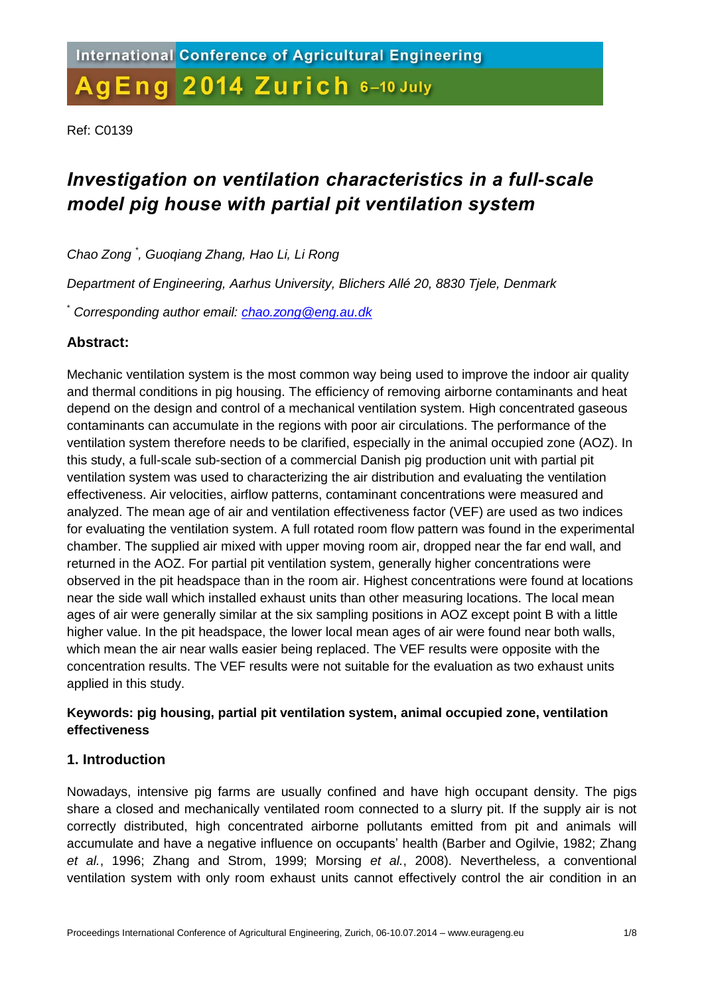Ref: C0139

# *Investigation on ventilation characteristics in a full-scale model pig house with partial pit ventilation system*

*Chao Zong \* , Guoqiang Zhang, Hao Li, Li Rong*

*Department of Engineering, Aarhus University, Blichers Allé 20, 8830 Tjele, Denmark*

\* *Corresponding author email: [chao.zong@eng.au.dk](mailto:chao.zong@eng.au.dk)*

## **Abstract:**

Mechanic ventilation system is the most common way being used to improve the indoor air quality and thermal conditions in pig housing. The efficiency of removing airborne contaminants and heat depend on the design and control of a mechanical ventilation system. High concentrated gaseous contaminants can accumulate in the regions with poor air circulations. The performance of the ventilation system therefore needs to be clarified, especially in the animal occupied zone (AOZ). In this study, a full-scale sub-section of a commercial Danish pig production unit with partial pit ventilation system was used to characterizing the air distribution and evaluating the ventilation effectiveness. Air velocities, airflow patterns, contaminant concentrations were measured and analyzed. The mean age of air and ventilation effectiveness factor (VEF) are used as two indices for evaluating the ventilation system. A full rotated room flow pattern was found in the experimental chamber. The supplied air mixed with upper moving room air, dropped near the far end wall, and returned in the AOZ. For partial pit ventilation system, generally higher concentrations were observed in the pit headspace than in the room air. Highest concentrations were found at locations near the side wall which installed exhaust units than other measuring locations. The local mean ages of air were generally similar at the six sampling positions in AOZ except point B with a little higher value. In the pit headspace, the lower local mean ages of air were found near both walls, which mean the air near walls easier being replaced. The VEF results were opposite with the concentration results. The VEF results were not suitable for the evaluation as two exhaust units applied in this study.

## **Keywords: pig housing, partial pit ventilation system, animal occupied zone, ventilation effectiveness**

## **1. Introduction**

Nowadays, intensive pig farms are usually confined and have high occupant density. The pigs share a closed and mechanically ventilated room connected to a slurry pit. If the supply air is not correctly distributed, high concentrated airborne pollutants emitted from pit and animals will accumulate and have a negative influence on occupants' health (Barber and Ogilvie, 1982; Zhang *et al.*, 1996; Zhang and Strom, 1999; Morsing *et al.*, 2008). Nevertheless, a conventional ventilation system with only room exhaust units cannot effectively control the air condition in an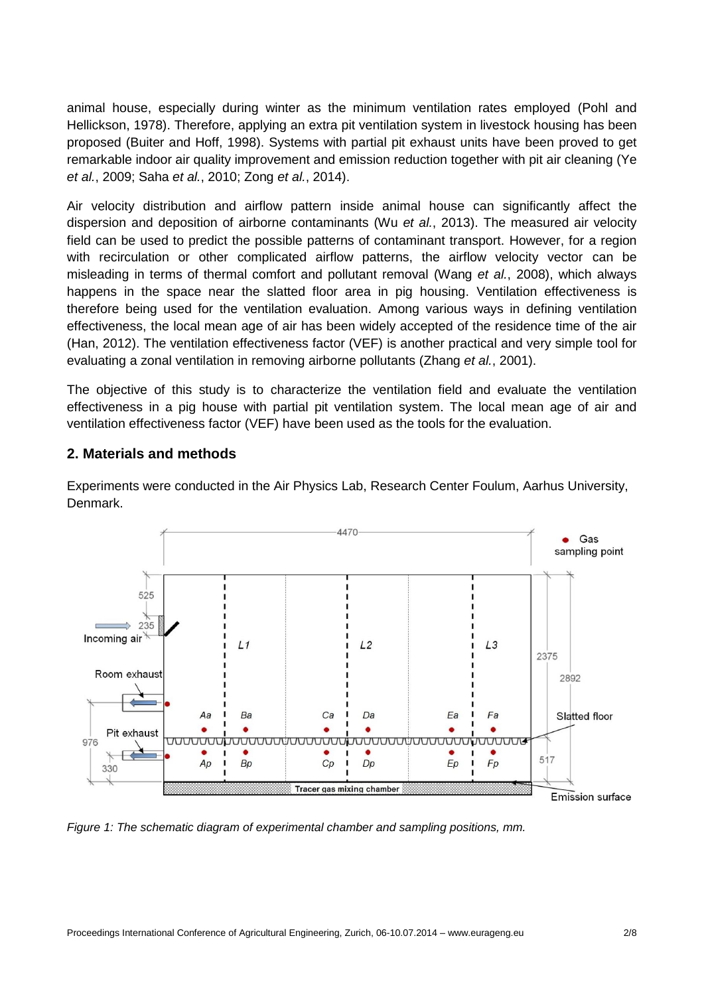animal house, especially during winter as the minimum ventilation rates employed (Pohl and Hellickson, 1978). Therefore, applying an extra pit ventilation system in livestock housing has been proposed (Buiter and Hoff, 1998). Systems with partial pit exhaust units have been proved to get remarkable indoor air quality improvement and emission reduction together with pit air cleaning (Ye *et al.*, 2009; Saha *et al.*, 2010; Zong *et al.*, 2014).

Air velocity distribution and airflow pattern inside animal house can significantly affect the dispersion and deposition of airborne contaminants (Wu *et al.*, 2013). The measured air velocity field can be used to predict the possible patterns of contaminant transport. However, for a region with recirculation or other complicated airflow patterns, the airflow velocity vector can be misleading in terms of thermal comfort and pollutant removal (Wang *et al.*, 2008), which always happens in the space near the slatted floor area in pig housing. Ventilation effectiveness is therefore being used for the ventilation evaluation. Among various ways in defining ventilation effectiveness, the local mean age of air has been widely accepted of the residence time of the air (Han, 2012). The ventilation effectiveness factor (VEF) is another practical and very simple tool for evaluating a zonal ventilation in removing airborne pollutants (Zhang *et al.*, 2001).

The objective of this study is to characterize the ventilation field and evaluate the ventilation effectiveness in a pig house with partial pit ventilation system. The local mean age of air and ventilation effectiveness factor (VEF) have been used as the tools for the evaluation.

## **2. Materials and methods**

Experiments were conducted in the Air Physics Lab, Research Center Foulum, Aarhus University, Denmark.



*Figure 1: The schematic diagram of experimental chamber and sampling positions, mm.*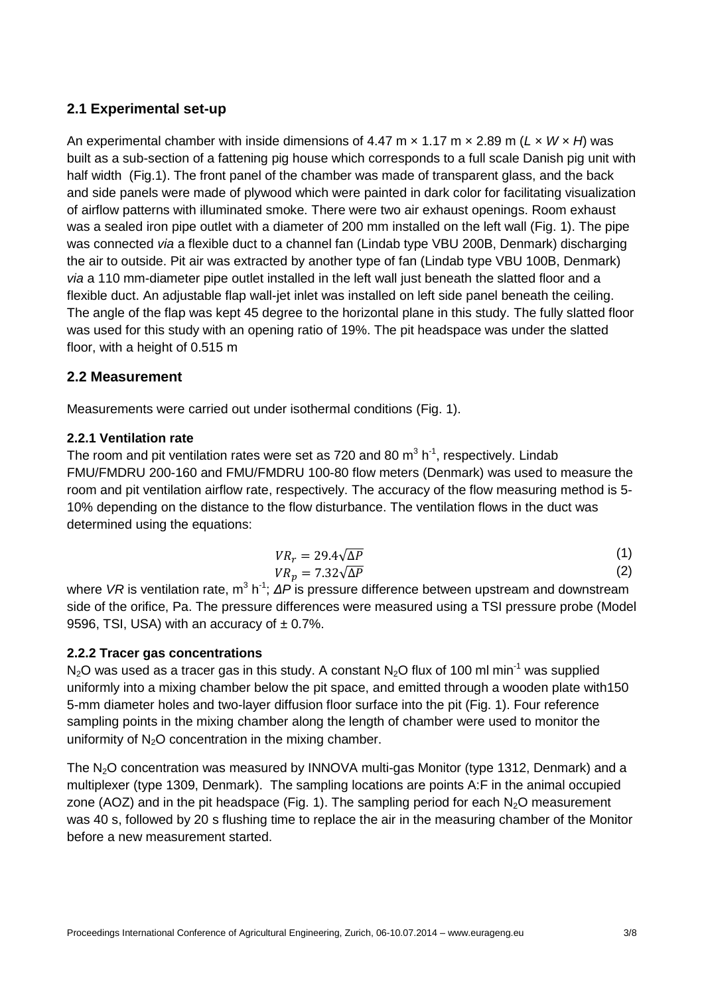# **2.1 Experimental set-up**

An experimental chamber with inside dimensions of 4.47 m × 1.17 m × 2.89 m (*L* × *W* × *H*) was built as a sub-section of a fattening pig house which corresponds to a full scale Danish pig unit with half width (Fig.1). The front panel of the chamber was made of transparent glass, and the back and side panels were made of plywood which were painted in dark color for facilitating visualization of airflow patterns with illuminated smoke. There were two air exhaust openings. Room exhaust was a sealed iron pipe outlet with a diameter of 200 mm installed on the left wall (Fig. 1). The pipe was connected *via* a flexible duct to a channel fan (Lindab type VBU 200B, Denmark) discharging the air to outside. Pit air was extracted by another type of fan (Lindab type VBU 100B, Denmark) *via* a 110 mm-diameter pipe outlet installed in the left wall just beneath the slatted floor and a flexible duct. An adjustable flap wall-jet inlet was installed on left side panel beneath the ceiling. The angle of the flap was kept 45 degree to the horizontal plane in this study. The fully slatted floor was used for this study with an opening ratio of 19%. The pit headspace was under the slatted floor, with a height of 0.515 m

## **2.2 Measurement**

Measurements were carried out under isothermal conditions (Fig. 1).

#### **2.2.1 Ventilation rate**

The room and pit ventilation rates were set as 720 and 80  $m^3$  h<sup>-1</sup>, respectively. Lindab FMU/FMDRU 200-160 and FMU/FMDRU 100-80 flow meters (Denmark) was used to measure the room and pit ventilation airflow rate, respectively. The accuracy of the flow measuring method is 5- 10% depending on the distance to the flow disturbance. The ventilation flows in the duct was determined using the equations:

$$
VR_r = 29.4\sqrt{\Delta P}
$$
  
\n
$$
VR_p = 7.32\sqrt{\Delta P}
$$
\n(1)  
\n(2)

where VR is ventilation rate, m<sup>3</sup> h<sup>-1</sup>; ΔP is pressure difference between upstream and downstream side of the orifice, Pa. The pressure differences were measured using a TSI pressure probe (Model 9596, TSI, USA) with an accuracy of  $\pm$  0.7%.

#### **2.2.2 Tracer gas concentrations**

N<sub>2</sub>O was used as a tracer gas in this study. A constant N<sub>2</sub>O flux of 100 ml min<sup>-1</sup> was supplied uniformly into a mixing chamber below the pit space, and emitted through a wooden plate with150 5-mm diameter holes and two-layer diffusion floor surface into the pit (Fig. 1). Four reference sampling points in the mixing chamber along the length of chamber were used to monitor the uniformity of  $N<sub>2</sub>O$  concentration in the mixing chamber.

The N2O concentration was measured by INNOVA multi-gas Monitor (type 1312, Denmark) and a multiplexer (type 1309, Denmark). The sampling locations are points A:F in the animal occupied zone (AOZ) and in the pit headspace (Fig. 1). The sampling period for each  $N_2O$  measurement was 40 s, followed by 20 s flushing time to replace the air in the measuring chamber of the Monitor before a new measurement started.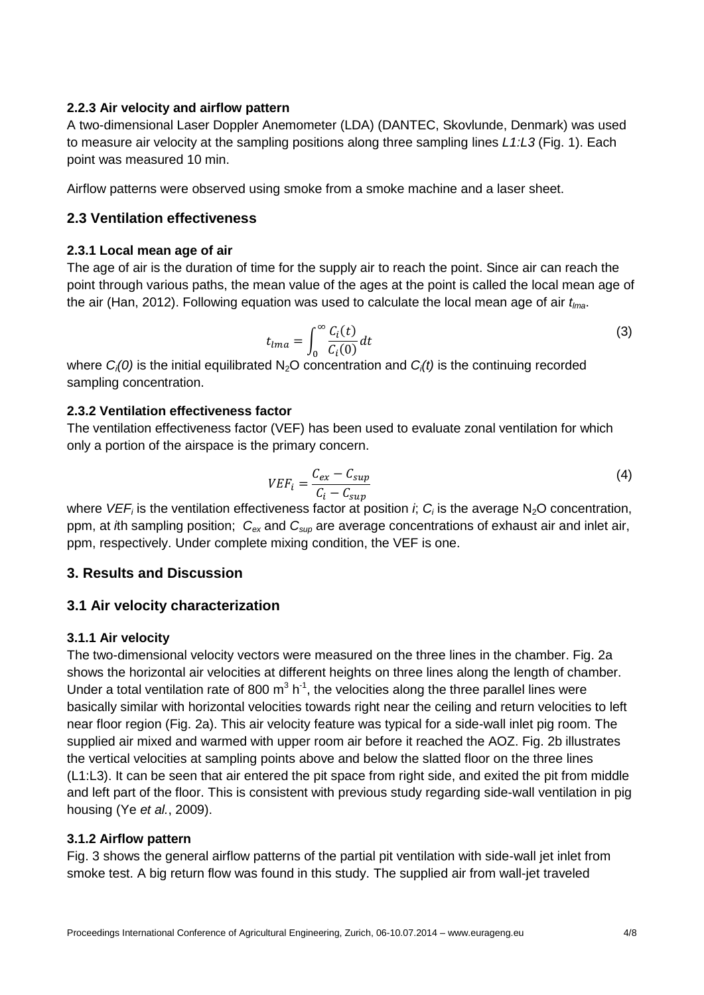### **2.2.3 Air velocity and airflow pattern**

A two-dimensional Laser Doppler Anemometer (LDA) (DANTEC, Skovlunde, Denmark) was used to measure air velocity at the sampling positions along three sampling lines *L1:L3* (Fig. 1). Each point was measured 10 min.

Airflow patterns were observed using smoke from a smoke machine and a laser sheet.

## **2.3 Ventilation effectiveness**

## **2.3.1 Local mean age of air**

The age of air is the duration of time for the supply air to reach the point. Since air can reach the point through various paths, the mean value of the ages at the point is called the local mean age of the air (Han, 2012). Following equation was used to calculate the local mean age of air *tlma*.

$$
t_{lma} = \int_0^\infty \frac{C_i(t)}{C_i(0)} dt
$$
 (3)

where  $C_i(0)$  is the initial equilibrated N<sub>2</sub>O concentration and  $C_i(t)$  is the continuing recorded sampling concentration.

## **2.3.2 Ventilation effectiveness factor**

The ventilation effectiveness factor (VEF) has been used to evaluate zonal ventilation for which only a portion of the airspace is the primary concern.

$$
VEF_i = \frac{C_{ex} - C_{sup}}{C_i - C_{sup}}\tag{4}
$$

where *VEF<sub>i</sub>* is the ventilation effectiveness factor at position *i*; *C<sub>i</sub>* is the average N<sub>2</sub>O concentration, ppm, at *i*th sampling position; *Cex* and *Csup* are average concentrations of exhaust air and inlet air, ppm, respectively. Under complete mixing condition, the VEF is one.

## **3. Results and Discussion**

## **3.1 Air velocity characterization**

## **3.1.1 Air velocity**

The two-dimensional velocity vectors were measured on the three lines in the chamber. Fig. 2a shows the horizontal air velocities at different heights on three lines along the length of chamber. Under a total ventilation rate of 800  $m^3 h^{-1}$ , the velocities along the three parallel lines were basically similar with horizontal velocities towards right near the ceiling and return velocities to left near floor region (Fig. 2a). This air velocity feature was typical for a side-wall inlet pig room. The supplied air mixed and warmed with upper room air before it reached the AOZ. Fig. 2b illustrates the vertical velocities at sampling points above and below the slatted floor on the three lines (L1:L3). It can be seen that air entered the pit space from right side, and exited the pit from middle and left part of the floor. This is consistent with previous study regarding side-wall ventilation in pig housing (Ye *et al.*, 2009).

## **3.1.2 Airflow pattern**

Fig. 3 shows the general airflow patterns of the partial pit ventilation with side-wall jet inlet from smoke test. A big return flow was found in this study. The supplied air from wall-jet traveled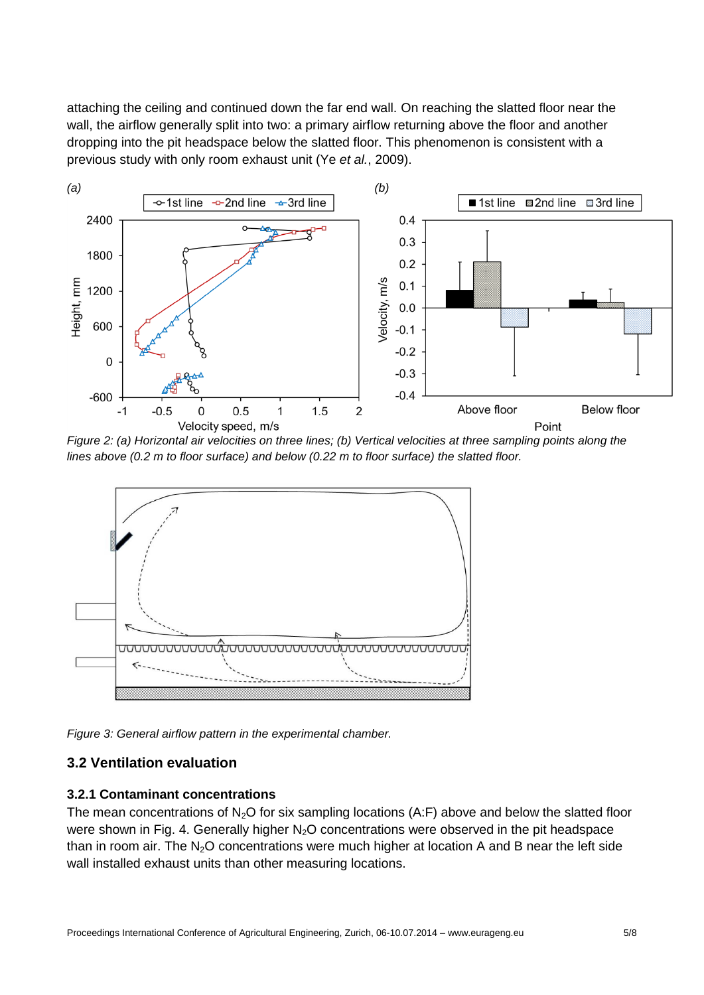attaching the ceiling and continued down the far end wall. On reaching the slatted floor near the wall, the airflow generally split into two: a primary airflow returning above the floor and another dropping into the pit headspace below the slatted floor. This phenomenon is consistent with a previous study with only room exhaust unit (Ye *et al.*, 2009).



*Figure 2: (a) Horizontal air velocities on three lines; (b) Vertical velocities at three sampling points along the lines above (0.2 m to floor surface) and below (0.22 m to floor surface) the slatted floor.*



*Figure 3: General airflow pattern in the experimental chamber.*

## **3.2 Ventilation evaluation**

#### **3.2.1 Contaminant concentrations**

The mean concentrations of  $N<sub>2</sub>O$  for six sampling locations (A:F) above and below the slatted floor were shown in Fig. 4. Generally higher  $N_2O$  concentrations were observed in the pit headspace than in room air. The  $N<sub>2</sub>O$  concentrations were much higher at location A and B near the left side wall installed exhaust units than other measuring locations.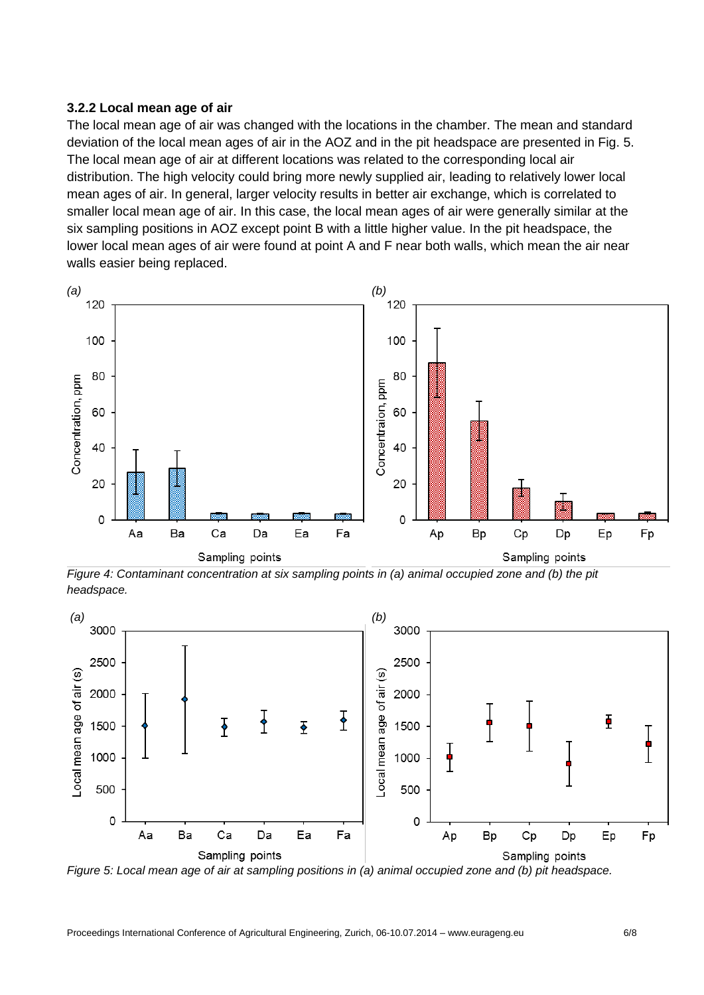#### **3.2.2 Local mean age of air**

The local mean age of air was changed with the locations in the chamber. The mean and standard deviation of the local mean ages of air in the AOZ and in the pit headspace are presented in Fig. 5. The local mean age of air at different locations was related to the corresponding local air distribution. The high velocity could bring more newly supplied air, leading to relatively lower local mean ages of air. In general, larger velocity results in better air exchange, which is correlated to smaller local mean age of air. In this case, the local mean ages of air were generally similar at the six sampling positions in AOZ except point B with a little higher value. In the pit headspace, the lower local mean ages of air were found at point A and F near both walls, which mean the air near walls easier being replaced.



*Figure 4: Contaminant concentration at six sampling points in (a) animal occupied zone and (b) the pit headspace.*



*Figure 5: Local mean age of air at sampling positions in (a) animal occupied zone and (b) pit headspace.*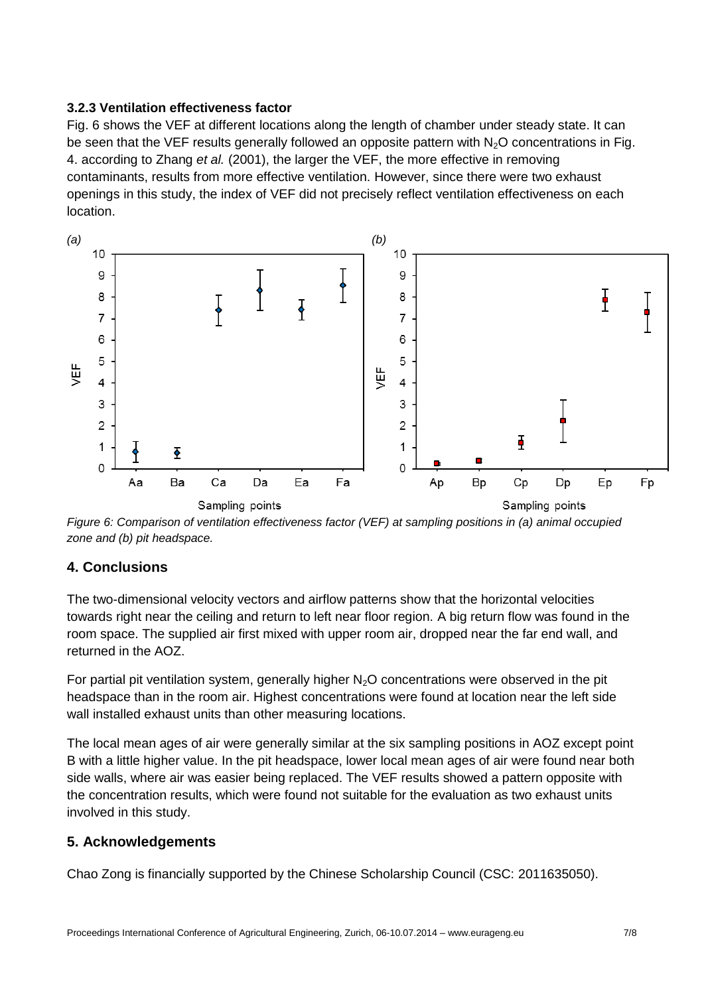## **3.2.3 Ventilation effectiveness factor**

Fig. 6 shows the VEF at different locations along the length of chamber under steady state. It can be seen that the VEF results generally followed an opposite pattern with  $N<sub>2</sub>O$  concentrations in Fig. 4. according to Zhang *et al.* (2001), the larger the VEF, the more effective in removing contaminants, results from more effective ventilation. However, since there were two exhaust openings in this study, the index of VEF did not precisely reflect ventilation effectiveness on each location.



*Figure 6: Comparison of ventilation effectiveness factor (VEF) at sampling positions in (a) animal occupied zone and (b) pit headspace.*

# **4. Conclusions**

The two-dimensional velocity vectors and airflow patterns show that the horizontal velocities towards right near the ceiling and return to left near floor region. A big return flow was found in the room space. The supplied air first mixed with upper room air, dropped near the far end wall, and returned in the AOZ.

For partial pit ventilation system, generally higher  $N<sub>2</sub>O$  concentrations were observed in the pit headspace than in the room air. Highest concentrations were found at location near the left side wall installed exhaust units than other measuring locations.

The local mean ages of air were generally similar at the six sampling positions in AOZ except point B with a little higher value. In the pit headspace, lower local mean ages of air were found near both side walls, where air was easier being replaced. The VEF results showed a pattern opposite with the concentration results, which were found not suitable for the evaluation as two exhaust units involved in this study.

# **5. Acknowledgements**

Chao Zong is financially supported by the Chinese Scholarship Council (CSC: 2011635050).